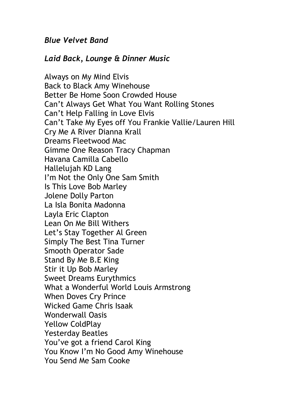## *Blue Velvet Band*

## *Laid Back, Lounge & Dinner Music*

Always on My Mind Elvis Back to Black Amy Winehouse Better Be Home Soon Crowded House Can't Always Get What You Want Rolling Stones Can't Help Falling in Love Elvis Can't Take My Eyes off You Frankie Vallie/Lauren Hill Cry Me A River Dianna Krall Dreams Fleetwood Mac Gimme One Reason Tracy Chapman Havana Camilla Cabello Hallelujah KD Lang I'm Not the Only One Sam Smith Is This Love Bob Marley Jolene Dolly Parton La Isla Bonita Madonna Layla Eric Clapton Lean On Me Bill Withers Let's Stay Together Al Green Simply The Best Tina Turner Smooth Operator Sade Stand By Me B.E King Stir it Up Bob Marley Sweet Dreams Eurythmics What a Wonderful World Louis Armstrong When Doves Cry Prince Wicked Game Chris Isaak Wonderwall Oasis Yellow ColdPlay Yesterday Beatles You've got a friend Carol King You Know I'm No Good Amy Winehouse You Send Me Sam Cooke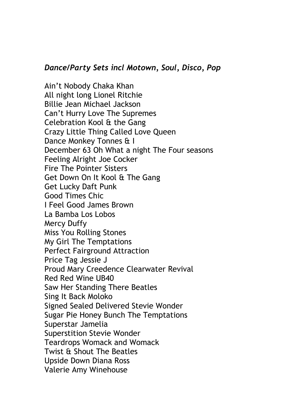## *Dance/Party Sets incl Motown, Soul, Disco, Pop*

Ain't Nobody Chaka Khan All night long Lionel Ritchie Billie Jean Michael Jackson Can't Hurry Love The Supremes Celebration Kool & the Gang Crazy Little Thing Called Love Queen Dance Monkey Tonnes & I December 63 Oh What a night The Four seasons Feeling Alright Joe Cocker Fire The Pointer Sisters Get Down On It Kool & The Gang Get Lucky Daft Punk Good Times Chic I Feel Good James Brown La Bamba Los Lobos Mercy Duffy Miss You Rolling Stones My Girl The Temptations Perfect Fairground Attraction Price Tag Jessie J Proud Mary Creedence Clearwater Revival Red Red Wine UB40 Saw Her Standing There Beatles Sing It Back Moloko Signed Sealed Delivered Stevie Wonder Sugar Pie Honey Bunch The Temptations Superstar Jamelia Superstition Stevie Wonder Teardrops Womack and Womack Twist & Shout The Beatles Upside Down Diana Ross Valerie Amy Winehouse